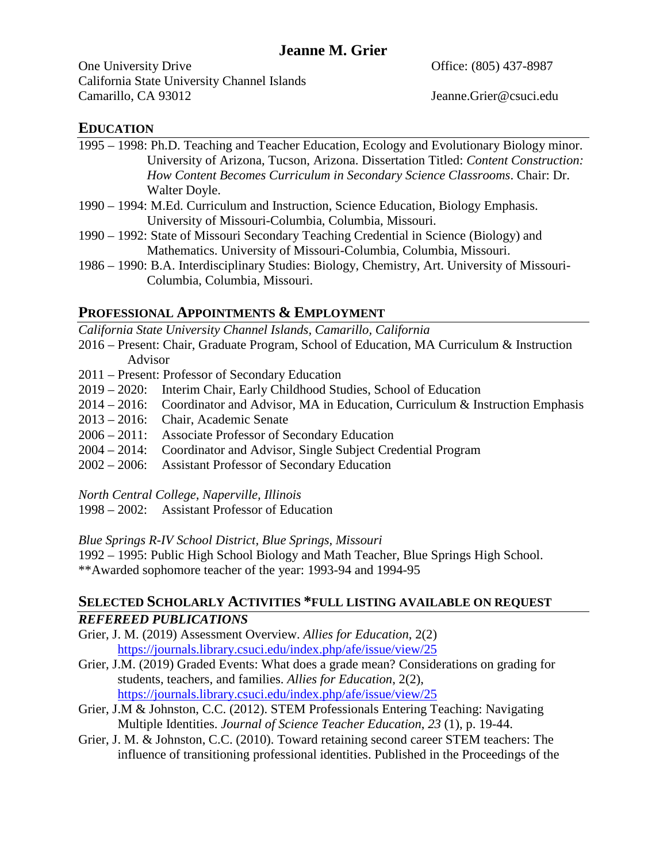# **Jeanne M. Grier**

One University Drive Changes and Changes Cone Office: (805) 437-8987 California State University Channel Islands Camarillo, CA 93012 Jeanne.Grier@csuci.edu

### **EDUCATION**

- 1995 1998: Ph.D. Teaching and Teacher Education, Ecology and Evolutionary Biology minor. University of Arizona, Tucson, Arizona. Dissertation Titled: *Content Construction: How Content Becomes Curriculum in Secondary Science Classrooms*. Chair: Dr. Walter Doyle.
- 1990 1994: M.Ed. Curriculum and Instruction, Science Education, Biology Emphasis. University of Missouri-Columbia, Columbia, Missouri.
- 1990 1992: State of Missouri Secondary Teaching Credential in Science (Biology) and Mathematics. University of Missouri-Columbia, Columbia, Missouri.
- 1986 1990: B.A. Interdisciplinary Studies: Biology, Chemistry, Art. University of Missouri-Columbia, Columbia, Missouri.

## **PROFESSIONAL APPOINTMENTS & EMPLOYMENT**

*California State University Channel Islands, Camarillo, California*

- 2016 Present: Chair, Graduate Program, School of Education, MA Curriculum & Instruction Advisor
- 2011 Present: Professor of Secondary Education
- 2019 2020: Interim Chair, Early Childhood Studies, School of Education
- 2014 2016: Coordinator and Advisor, MA in Education, Curriculum & Instruction Emphasis
- 2013 2016: Chair, Academic Senate
- 2006 2011: Associate Professor of Secondary Education
- 2004 2014: Coordinator and Advisor, Single Subject Credential Program
- 2002 2006: Assistant Professor of Secondary Education

*North Central College, Naperville, Illinois*

1998 – 2002: Assistant Professor of Education

## *Blue Springs R-IV School District, Blue Springs, Missouri*

1992 – 1995: Public High School Biology and Math Teacher, Blue Springs High School. \*\*Awarded sophomore teacher of the year: 1993-94 and 1994-95

# **SELECTED SCHOLARLY ACTIVITIES \*FULL LISTING AVAILABLE ON REQUEST** *REFEREED PUBLICATIONS*

- Grier, J. M. (2019) Assessment Overview. *Allies for Education*, 2(2) <https://journals.library.csuci.edu/index.php/afe/issue/view/25>
- Grier, J.M. (2019) Graded Events: What does a grade mean? Considerations on grading for students, teachers, and families. *Allies for Education*, 2(2), <https://journals.library.csuci.edu/index.php/afe/issue/view/25>
- Grier, J.M & Johnston, C.C. (2012). STEM Professionals Entering Teaching: Navigating Multiple Identities. *Journal of Science Teacher Education*, *23* (1), p. 19-44.
- Grier, J. M. & Johnston, C.C. (2010). Toward retaining second career STEM teachers: The influence of transitioning professional identities. Published in the Proceedings of the